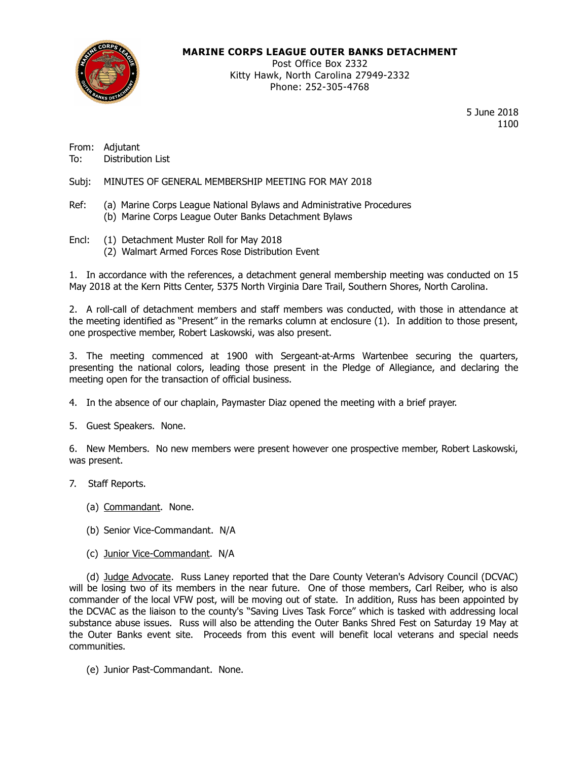

### **MARINE CORPS LEAGUE OUTER BANKS DETACHMENT**

Post Office Box 2332 Kitty Hawk, North Carolina 27949-2332 Phone: 252-305-4768

> 5 June 2018 1100

From: Adjutant<br>To: Distributi Distribution List

Subj: MINUTES OF GENERAL MEMBERSHIP MEETING FOR MAY 2018

- Ref: (a) Marine Corps League National Bylaws and Administrative Procedures (b) Marine Corps League Outer Banks Detachment Bylaws
- Encl: (1) Detachment Muster Roll for May 2018
	- (2) Walmart Armed Forces Rose Distribution Event

1. In accordance with the references, a detachment general membership meeting was conducted on 15 May 2018 at the Kern Pitts Center, 5375 North Virginia Dare Trail, Southern Shores, North Carolina.

2. A roll-call of detachment members and staff members was conducted, with those in attendance at the meeting identified as "Present" in the remarks column at enclosure (1). In addition to those present, one prospective member, Robert Laskowski, was also present.

3. The meeting commenced at 1900 with Sergeant-at-Arms Wartenbee securing the quarters, presenting the national colors, leading those present in the Pledge of Allegiance, and declaring the meeting open for the transaction of official business.

4. In the absence of our chaplain, Paymaster Diaz opened the meeting with a brief prayer.

5. Guest Speakers. None.

6. New Members. No new members were present however one prospective member, Robert Laskowski, was present.

- 7. Staff Reports.
	- (a) Commandant. None.
	- (b) Senior Vice-Commandant. N/A
	- (c) Junior Vice-Commandant. N/A

(d) Judge Advocate. Russ Laney reported that the Dare County Veteran's Advisory Council (DCVAC) will be losing two of its members in the near future. One of those members, Carl Reiber, who is also commander of the local VFW post, will be moving out of state. In addition, Russ has been appointed by the DCVAC as the liaison to the county's "Saving Lives Task Force" which is tasked with addressing local substance abuse issues. Russ will also be attending the Outer Banks Shred Fest on Saturday 19 May at the Outer Banks event site. Proceeds from this event will benefit local veterans and special needs communities.

(e) Junior Past-Commandant. None.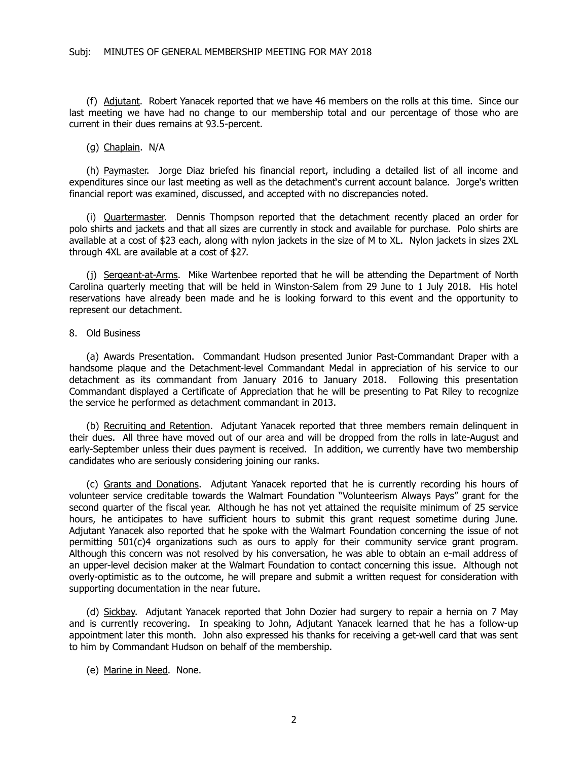(f) Adjutant. Robert Yanacek reported that we have 46 members on the rolls at this time. Since our last meeting we have had no change to our membership total and our percentage of those who are current in their dues remains at 93.5-percent.

(g) Chaplain. N/A

(h) Paymaster. Jorge Diaz briefed his financial report, including a detailed list of all income and expenditures since our last meeting as well as the detachment's current account balance. Jorge's written financial report was examined, discussed, and accepted with no discrepancies noted.

(i) Quartermaster. Dennis Thompson reported that the detachment recently placed an order for polo shirts and jackets and that all sizes are currently in stock and available for purchase. Polo shirts are available at a cost of \$23 each, along with nylon jackets in the size of M to XL. Nylon jackets in sizes 2XL through 4XL are available at a cost of \$27.

(j) Sergeant-at-Arms. Mike Wartenbee reported that he will be attending the Department of North Carolina quarterly meeting that will be held in Winston-Salem from 29 June to 1 July 2018. His hotel reservations have already been made and he is looking forward to this event and the opportunity to represent our detachment.

### 8. Old Business

(a) Awards Presentation. Commandant Hudson presented Junior Past-Commandant Draper with a handsome plaque and the Detachment-level Commandant Medal in appreciation of his service to our detachment as its commandant from January 2016 to January 2018. Following this presentation Commandant displayed a Certificate of Appreciation that he will be presenting to Pat Riley to recognize the service he performed as detachment commandant in 2013.

(b) Recruiting and Retention. Adjutant Yanacek reported that three members remain delinquent in their dues. All three have moved out of our area and will be dropped from the rolls in late-August and early-September unless their dues payment is received. In addition, we currently have two membership candidates who are seriously considering joining our ranks.

(c) Grants and Donations. Adjutant Yanacek reported that he is currently recording his hours of volunteer service creditable towards the Walmart Foundation "Volunteerism Always Pays" grant for the second quarter of the fiscal year. Although he has not yet attained the requisite minimum of 25 service hours, he anticipates to have sufficient hours to submit this grant request sometime during June. Adjutant Yanacek also reported that he spoke with the Walmart Foundation concerning the issue of not permitting 501(c)4 organizations such as ours to apply for their community service grant program. Although this concern was not resolved by his conversation, he was able to obtain an e-mail address of an upper-level decision maker at the Walmart Foundation to contact concerning this issue. Although not overly-optimistic as to the outcome, he will prepare and submit a written request for consideration with supporting documentation in the near future.

(d) Sickbay. Adjutant Yanacek reported that John Dozier had surgery to repair a hernia on 7 May and is currently recovering. In speaking to John, Adjutant Yanacek learned that he has a follow-up appointment later this month. John also expressed his thanks for receiving a get-well card that was sent to him by Commandant Hudson on behalf of the membership.

(e) Marine in Need. None.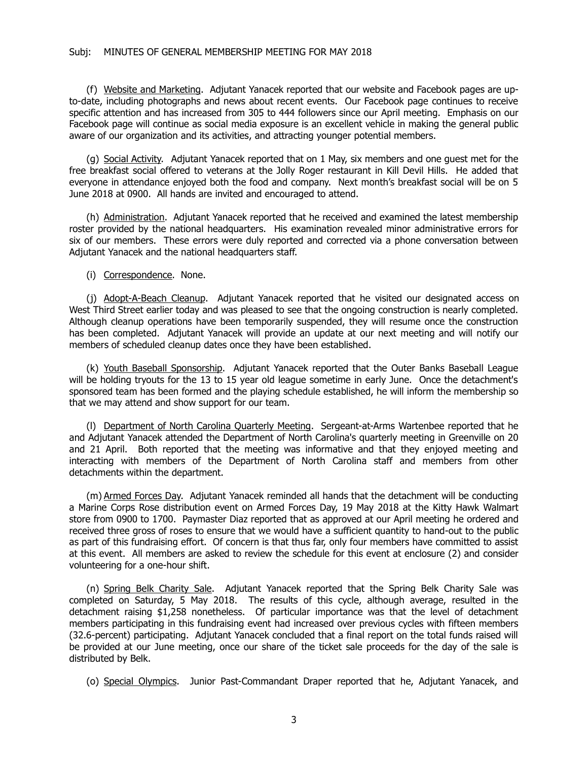#### Subj: MINUTES OF GENERAL MEMBERSHIP MEETING FOR MAY 2018

(f) Website and Marketing. Adjutant Yanacek reported that our website and Facebook pages are upto-date, including photographs and news about recent events. Our Facebook page continues to receive specific attention and has increased from 305 to 444 followers since our April meeting. Emphasis on our Facebook page will continue as social media exposure is an excellent vehicle in making the general public aware of our organization and its activities, and attracting younger potential members.

(g) Social Activity. Adjutant Yanacek reported that on 1 May, six members and one guest met for the free breakfast social offered to veterans at the Jolly Roger restaurant in Kill Devil Hills. He added that everyone in attendance enjoyed both the food and company. Next month's breakfast social will be on 5 June 2018 at 0900. All hands are invited and encouraged to attend.

(h) Administration. Adjutant Yanacek reported that he received and examined the latest membership roster provided by the national headquarters. His examination revealed minor administrative errors for six of our members. These errors were duly reported and corrected via a phone conversation between Adjutant Yanacek and the national headquarters staff.

(i) Correspondence. None.

(j) Adopt-A-Beach Cleanup. Adjutant Yanacek reported that he visited our designated access on West Third Street earlier today and was pleased to see that the ongoing construction is nearly completed. Although cleanup operations have been temporarily suspended, they will resume once the construction has been completed. Adjutant Yanacek will provide an update at our next meeting and will notify our members of scheduled cleanup dates once they have been established.

(k) Youth Baseball Sponsorship. Adjutant Yanacek reported that the Outer Banks Baseball League will be holding tryouts for the 13 to 15 year old league sometime in early June. Once the detachment's sponsored team has been formed and the playing schedule established, he will inform the membership so that we may attend and show support for our team.

(I) Department of North Carolina Quarterly Meeting. Sergeant-at-Arms Wartenbee reported that he and Adjutant Yanacek attended the Department of North Carolina's quarterly meeting in Greenville on 20 and 21 April. Both reported that the meeting was informative and that they enjoyed meeting and interacting with members of the Department of North Carolina staff and members from other detachments within the department.

(m) Armed Forces Day. Adjutant Yanacek reminded all hands that the detachment will be conducting a Marine Corps Rose distribution event on Armed Forces Day, 19 May 2018 at the Kitty Hawk Walmart store from 0900 to 1700. Paymaster Diaz reported that as approved at our April meeting he ordered and received three gross of roses to ensure that we would have a sufficient quantity to hand-out to the public as part of this fundraising effort. Of concern is that thus far, only four members have committed to assist at this event. All members are asked to review the schedule for this event at enclosure (2) and consider volunteering for a one-hour shift.

(n) Spring Belk Charity Sale. Adjutant Yanacek reported that the Spring Belk Charity Sale was completed on Saturday, 5 May 2018. The results of this cycle, although average, resulted in the detachment raising \$1,258 nonetheless. Of particular importance was that the level of detachment members participating in this fundraising event had increased over previous cycles with fifteen members (32.6-percent) participating. Adjutant Yanacek concluded that a final report on the total funds raised will be provided at our June meeting, once our share of the ticket sale proceeds for the day of the sale is distributed by Belk.

(o) Special Olympics. Junior Past-Commandant Draper reported that he, Adjutant Yanacek, and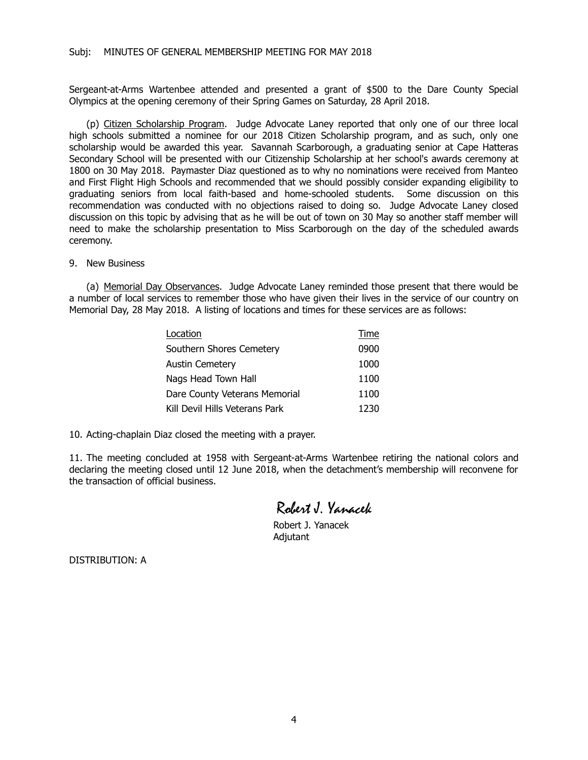Sergeant-at-Arms Wartenbee attended and presented a grant of \$500 to the Dare County Special Olympics at the opening ceremony of their Spring Games on Saturday, 28 April 2018.

(p) Citizen Scholarship Program. Judge Advocate Laney reported that only one of our three local high schools submitted a nominee for our 2018 Citizen Scholarship program, and as such, only one scholarship would be awarded this year. Savannah Scarborough, a graduating senior at Cape Hatteras Secondary School will be presented with our Citizenship Scholarship at her school's awards ceremony at 1800 on 30 May 2018. Paymaster Diaz questioned as to why no nominations were received from Manteo and First Flight High Schools and recommended that we should possibly consider expanding eligibility to graduating seniors from local faith-based and home-schooled students. Some discussion on this recommendation was conducted with no objections raised to doing so. Judge Advocate Laney closed discussion on this topic by advising that as he will be out of town on 30 May so another staff member will need to make the scholarship presentation to Miss Scarborough on the day of the scheduled awards ceremony.

#### 9. New Business

(a) Memorial Day Observances. Judge Advocate Laney reminded those present that there would be a number of local services to remember those who have given their lives in the service of our country on Memorial Day, 28 May 2018. A listing of locations and times for these services are as follows:

| Location                       | Time |
|--------------------------------|------|
| Southern Shores Cemetery       | 0900 |
| <b>Austin Cemetery</b>         | 1000 |
| Nags Head Town Hall            | 1100 |
| Dare County Veterans Memorial  | 1100 |
| Kill Devil Hills Veterans Park | 1230 |

10. Acting-chaplain Diaz closed the meeting with a prayer.

11. The meeting concluded at 1958 with Sergeant-at-Arms Wartenbee retiring the national colors and declaring the meeting closed until 12 June 2018, when the detachment's membership will reconvene for the transaction of official business.

## Robert J. Yanacek

Robert J. Yanacek Adjutant

DISTRIBUTION: A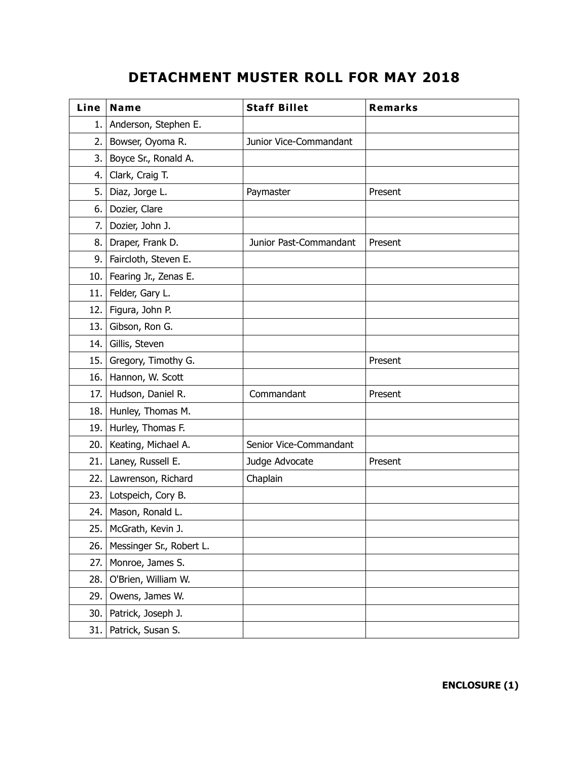# **DETACHMENT MUSTER ROLL FOR MAY 2018**

| Line | Name                     | <b>Staff Billet</b>    | <b>Remarks</b> |
|------|--------------------------|------------------------|----------------|
| 1.   | Anderson, Stephen E.     |                        |                |
| 2.   | Bowser, Oyoma R.         | Junior Vice-Commandant |                |
| 3.   | Boyce Sr., Ronald A.     |                        |                |
| 4.   | Clark, Craig T.          |                        |                |
| 5.   | Diaz, Jorge L.           | Paymaster              | Present        |
| 6.   | Dozier, Clare            |                        |                |
| 7.   | Dozier, John J.          |                        |                |
| 8.   | Draper, Frank D.         | Junior Past-Commandant | Present        |
| 9.   | Faircloth, Steven E.     |                        |                |
| 10.  | Fearing Jr., Zenas E.    |                        |                |
| 11.  | Felder, Gary L.          |                        |                |
| 12.  | Figura, John P.          |                        |                |
| 13.  | Gibson, Ron G.           |                        |                |
| 14.  | Gillis, Steven           |                        |                |
| 15.  | Gregory, Timothy G.      |                        | Present        |
| 16.  | Hannon, W. Scott         |                        |                |
| 17.  | Hudson, Daniel R.        | Commandant             | Present        |
| 18.  | Hunley, Thomas M.        |                        |                |
| 19.  | Hurley, Thomas F.        |                        |                |
| 20.  | Keating, Michael A.      | Senior Vice-Commandant |                |
| 21.  | Laney, Russell E.        | Judge Advocate         | Present        |
| 22.  | Lawrenson, Richard       | Chaplain               |                |
| 23.  | Lotspeich, Cory B.       |                        |                |
| 24.  | Mason, Ronald L.         |                        |                |
| 25.  | McGrath, Kevin J.        |                        |                |
| 26.  | Messinger Sr., Robert L. |                        |                |
| 27.  | Monroe, James S.         |                        |                |
| 28.  | O'Brien, William W.      |                        |                |
| 29.  | Owens, James W.          |                        |                |
| 30.  | Patrick, Joseph J.       |                        |                |
| 31.  | Patrick, Susan S.        |                        |                |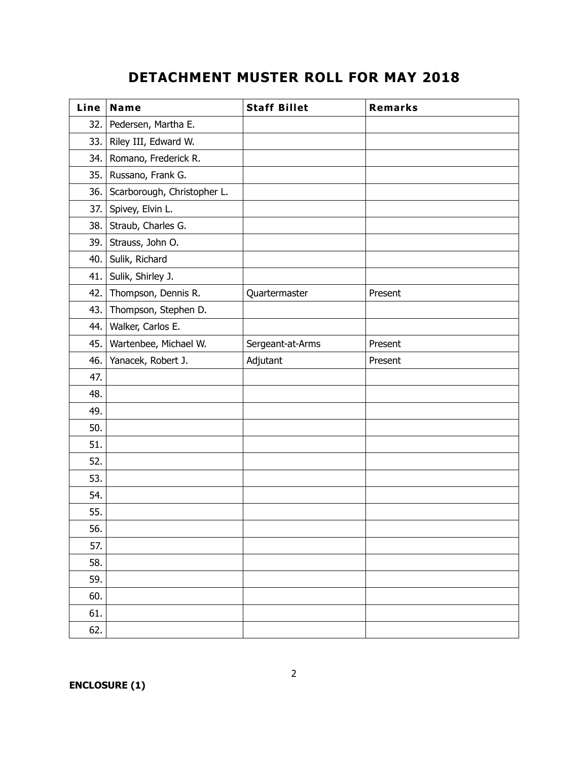# **DETACHMENT MUSTER ROLL FOR MAY 2018**

| Line | Name                        | <b>Staff Billet</b> | Remarks |
|------|-----------------------------|---------------------|---------|
| 32.  | Pedersen, Martha E.         |                     |         |
| 33.  | Riley III, Edward W.        |                     |         |
| 34.  | Romano, Frederick R.        |                     |         |
| 35.  | Russano, Frank G.           |                     |         |
| 36.  | Scarborough, Christopher L. |                     |         |
| 37.  | Spivey, Elvin L.            |                     |         |
| 38.  | Straub, Charles G.          |                     |         |
| 39.  | Strauss, John O.            |                     |         |
| 40.  | Sulik, Richard              |                     |         |
| 41.  | Sulik, Shirley J.           |                     |         |
| 42.  | Thompson, Dennis R.         | Quartermaster       | Present |
| 43.  | Thompson, Stephen D.        |                     |         |
| 44.  | Walker, Carlos E.           |                     |         |
| 45.  | Wartenbee, Michael W.       | Sergeant-at-Arms    | Present |
| 46.  | Yanacek, Robert J.          | Adjutant            | Present |
| 47.  |                             |                     |         |
| 48.  |                             |                     |         |
| 49.  |                             |                     |         |
| 50.  |                             |                     |         |
| 51.  |                             |                     |         |
| 52.  |                             |                     |         |
| 53.  |                             |                     |         |
| 54.  |                             |                     |         |
| 55.  |                             |                     |         |
| 56.  |                             |                     |         |
| 57.  |                             |                     |         |
| 58.  |                             |                     |         |
| 59.  |                             |                     |         |
| 60.  |                             |                     |         |
| 61.  |                             |                     |         |
| 62.  |                             |                     |         |